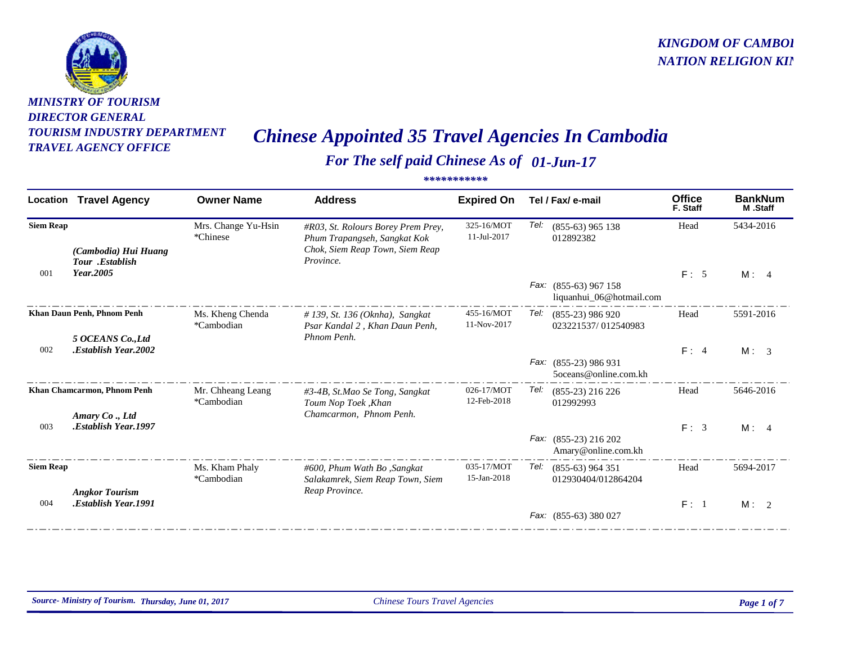

## *MINISTRY OF TOURISMDIRECTOR GENERAL TOURISM INDUSTRY DEPARTMENT*

## *KINGDOM OF CAMBOD NATION RELIGION KIN*

## *TRAVEL AGENCY OFFICE Chinese Appointed 35 Travel Agencies In Cambodia*

## *For The self paid Chinese As of 01-Jun-17 \*\*\*\*\*\*\*\*\*\*\**

| Location         | <b>Travel Agency</b>                            | <b>Owner Name</b>               | <b>Address</b>                                                                                                     | <b>Expired On</b>         | Tel / Fax/ e-mail                                 | <b>Office</b><br>F. Staff | <b>BankNum</b><br>M.Staff |
|------------------|-------------------------------------------------|---------------------------------|--------------------------------------------------------------------------------------------------------------------|---------------------------|---------------------------------------------------|---------------------------|---------------------------|
| <b>Siem Reap</b> | (Cambodia) Hui Huang<br>Tour .Establish         | Mrs. Change Yu-Hsin<br>*Chinese | #R03, St. Rolours Borey Prem Prey,<br>Phum Trapangseh, Sangkat Kok<br>Chok, Siem Reap Town, Siem Reap<br>Province. | 325-16/MOT<br>11-Jul-2017 | Tel:<br>$(855-63)$ 965 138<br>012892382           | Head                      | 5434-2016                 |
| 001              | Year.2005                                       |                                 |                                                                                                                    |                           | Fax: (855-63) 967 158<br>liquanhui_06@hotmail.com | F: 5                      | M: 4                      |
|                  | Khan Daun Penh, Phnom Penh<br>5 OCEANS Co., Ltd | Ms. Kheng Chenda<br>*Cambodian  | $\#$ 139, St. 136 (Oknha), Sangkat<br>Psar Kandal 2, Khan Daun Penh,<br>Phnom Penh.                                | 455-16/MOT<br>11-Nov-2017 | Tel:<br>$(855-23)$ 986 920<br>023221537/012540983 | Head                      | 5591-2016                 |
| 002              | <b>Establish Year, 2002.</b>                    |                                 |                                                                                                                    |                           | Fax: (855-23) 986 931<br>5oceans@online.com.kh    | F: 4                      | M: 3                      |
|                  | Khan Chamcarmon, Phnom Penh<br>Amary Co., Ltd   | Mr. Chheang Leang<br>*Cambodian | #3-4B, St.Mao Se Tong, Sangkat<br>Toum Nop Toek, Khan<br>Chamcarmon, Phnom Penh.                                   | 026-17/MOT<br>12-Feb-2018 | Tel:<br>$(855-23)$ 216 226<br>012992993           | Head                      | 5646-2016                 |
| 003              | .Establish Year.1997                            |                                 |                                                                                                                    |                           | Fax: (855-23) 216 202<br>Amary@online.com.kh      | F: 3                      | M: 4                      |
| <b>Siem Reap</b> | <b>Angkor Tourism</b>                           | Ms. Kham Phaly<br>*Cambodian    | #600, Phum Wath Bo, Sangkat<br>Salakamrek, Siem Reap Town, Siem<br>Reap Province.                                  | 035-17/MOT<br>15-Jan-2018 | Tel:<br>$(855-63)$ 964 351<br>012930404/012864204 | Head                      | 5694-2017                 |
| 004              | <b>Establish Year, 1991.</b>                    |                                 |                                                                                                                    |                           | Fax: (855-63) 380 027                             | F: 1                      | M: 2                      |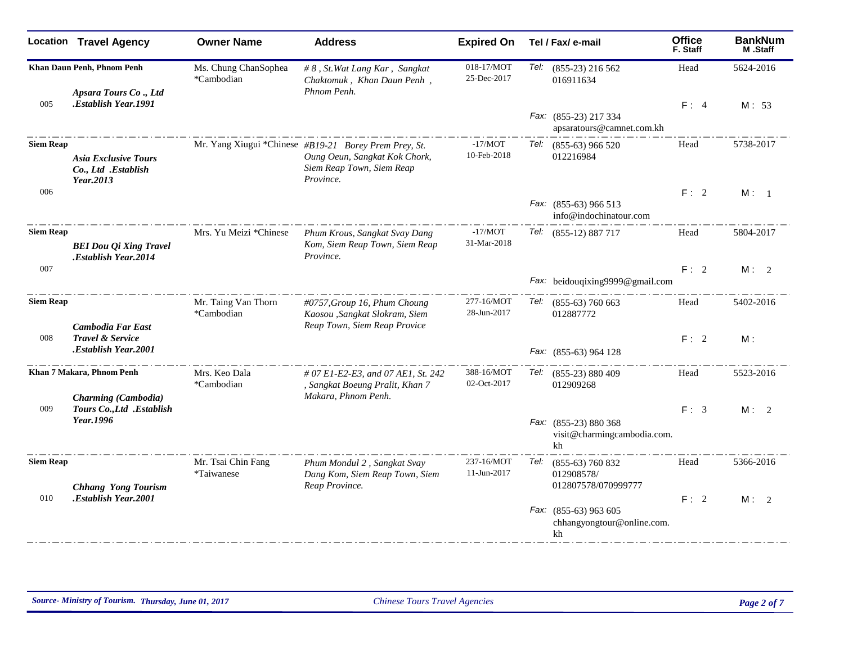|                  | <b>Location Travel Agency</b>                                   | <b>Owner Name</b>                  | <b>Address</b>                                                                                                                   | <b>Expired On</b>         | Tel / Fax/ e-mail                                          | <b>Office</b><br>F. Staff | <b>BankNum</b><br>M.Staff |
|------------------|-----------------------------------------------------------------|------------------------------------|----------------------------------------------------------------------------------------------------------------------------------|---------------------------|------------------------------------------------------------|---------------------------|---------------------------|
|                  | Khan Daun Penh, Phnom Penh<br>Apsara Tours Co., Ltd             | Ms. Chung ChanSophea<br>*Cambodian | # 8, St. Wat Lang Kar, Sangkat<br>Chaktomuk, Khan Daun Penh,<br>Phnom Penh.                                                      | 018-17/MOT<br>25-Dec-2017 | Tel: (855-23) 216 562<br>016911634                         | Head                      | 5624-2016                 |
| 005              | <b>Establish Year, 1991.</b>                                    |                                    |                                                                                                                                  |                           | Fax: (855-23) 217 334<br>apsaratours@camnet.com.kh         | F: 4                      | M: 53                     |
| <b>Siem Reap</b> | <b>Asia Exclusive Tours</b><br>Co., Ltd .Establish<br>Year.2013 |                                    | Mr. Yang Xiugui *Chinese #B19-21 Borey Prem Prey, St.<br>Oung Oeun, Sangkat Kok Chork,<br>Siem Reap Town, Siem Reap<br>Province. | $-17/MOT$<br>10-Feb-2018  | Tel: (855-63) 966 520<br>012216984                         | Head                      | 5738-2017                 |
| 006              |                                                                 |                                    |                                                                                                                                  |                           | Fax: (855-63) 966 513<br>info@indochinatour.com            | F: 2                      | M: 1                      |
| <b>Siem Reap</b> | <b>BEI Dou Qi Xing Travel</b><br><b>Establish Year.2014.</b>    | Mrs. Yu Meizi *Chinese             | Phum Krous, Sangkat Svay Dang<br>Kom, Siem Reap Town, Siem Reap<br>Province.                                                     | $-17/MOT$<br>31-Mar-2018  | Tel: (855-12) 887 717                                      | Head                      | 5804-2017                 |
| 007              |                                                                 |                                    |                                                                                                                                  |                           | Fax: beidouqixing9999@gmail.com                            | F: 2                      | M: 2                      |
| <b>Siem Reap</b> | <b>Cambodia Far East</b>                                        | Mr. Taing Van Thorn<br>*Cambodian  | #0757, Group 16, Phum Choung<br>Kaosou ,Sangkat Slokram, Siem<br>Reap Town, Siem Reap Provice                                    | 277-16/MOT<br>28-Jun-2017 | Tel: (855-63) 760 663<br>012887772                         | Head                      | 5402-2016                 |
| 008              | <b>Travel &amp; Service</b><br>Establish Year.2001.             |                                    |                                                                                                                                  |                           | Fax: (855-63) 964 128                                      | F: 2                      | M:                        |
|                  | Khan 7 Makara, Phnom Penh<br>Charming (Cambodia)                | Mrs. Keo Dala<br>*Cambodian        | # 07 E1-E2-E3, and 07 AE1, St, 242<br>, Sangkat Boeung Pralit, Khan 7<br>Makara, Phnom Penh.                                     | 388-16/MOT<br>02-Oct-2017 | Tel: (855-23) 880 409<br>012909268                         | Head                      | 5523-2016                 |
| 009              | Tours Co., Ltd . Establish<br>Year.1996                         |                                    |                                                                                                                                  |                           | Fax: (855-23) 880 368<br>visit@charmingcambodia.com.<br>kh | F: 3                      | M: 2                      |
| <b>Siem Reap</b> | <b>Chhang Yong Tourism</b>                                      | Mr. Tsai Chin Fang<br>*Taiwanese   | Phum Mondul 2, Sangkat Svay<br>Dang Kom, Siem Reap Town, Siem<br>Reap Province.                                                  | 237-16/MOT<br>11-Jun-2017 | Tel: (855-63) 760 832<br>012908578/<br>012807578/070999777 | Head                      | 5366-2016                 |
| 010              | .Establish Year.2001                                            |                                    |                                                                                                                                  |                           | Fax: (855-63) 963 605<br>chhangyongtour@online.com.<br>kh  | F: 2                      | M: 2                      |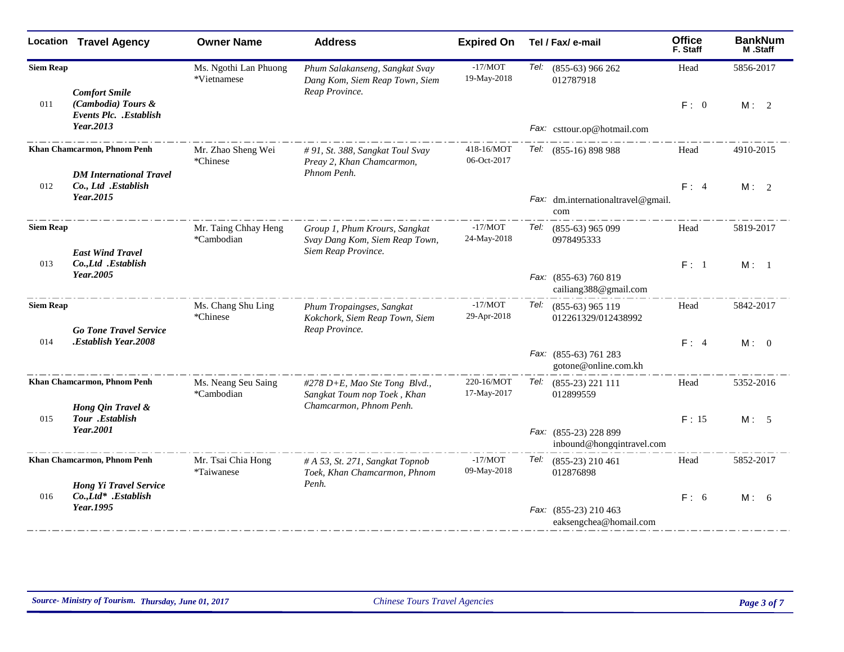|                  | <b>Location Travel Agency</b>                                 | <b>Owner Name</b>                    | <b>Address</b>                                                                         | <b>Expired On</b>         | Tel / Fax/ e-mail                                  | <b>Office</b><br>F. Staff | <b>BankNum</b><br>M.Staff |
|------------------|---------------------------------------------------------------|--------------------------------------|----------------------------------------------------------------------------------------|---------------------------|----------------------------------------------------|---------------------------|---------------------------|
| <b>Siem Reap</b> | <b>Comfort Smile</b>                                          | Ms. Ngothi Lan Phuong<br>*Vietnamese | Phum Salakanseng, Sangkat Svay<br>Dang Kom, Siem Reap Town, Siem<br>Reap Province.     | $-17/MOT$<br>19-May-2018  | Tel: (855-63) 966 262<br>012787918                 | Head                      | 5856-2017                 |
| 011              | (Cambodia) Tours &<br><b>Events Plc. .Establish</b>           |                                      |                                                                                        |                           |                                                    | F: 0                      | M: 2                      |
|                  | Year.2013                                                     |                                      |                                                                                        |                           | Fax: csttour.op@hotmail.com                        |                           |                           |
|                  | Khan Chamcarmon, Phnom Penh<br><b>DM</b> International Travel | Mr. Zhao Sheng Wei<br>*Chinese       | # 91, St. 388, Sangkat Toul Svay<br>Preay 2, Khan Chamcarmon,<br>Phnom Penh.           | 418-16/MOT<br>06-Oct-2017 | Tel: (855-16) 898 988                              | Head                      | 4910-2015                 |
| 012              | Co., Ltd .Establish                                           |                                      |                                                                                        |                           |                                                    | F: 4                      | M: 2                      |
|                  | Year.2015                                                     |                                      |                                                                                        |                           | Fax: dm.internationaltravel@gmail.<br>com          |                           |                           |
| <b>Siem Reap</b> | <b>East Wind Travel</b>                                       | Mr. Taing Chhay Heng<br>*Cambodian   | Group 1, Phum Krours, Sangkat<br>Svay Dang Kom, Siem Reap Town,<br>Siem Reap Province. | $-17/MOT$<br>24-May-2018  | Tel:<br>$(855-63)$ 965 099<br>0978495333           | Head                      | 5819-2017                 |
| 013              | Co., Ltd .Establish<br>Year.2005                              |                                      |                                                                                        |                           | Fax: (855-63) 760 819<br>cailiang388@gmail.com     | F: 1                      | M: 1                      |
| <b>Siem Reap</b> | <b>Go Tone Travel Service</b>                                 | Ms. Chang Shu Ling<br>*Chinese       | Phum Tropaingses, Sangkat<br>Kokchork, Siem Reap Town, Siem<br>Reap Province.          | $-17/MOT$<br>29-Apr-2018  | Tel: (855-63) 965 119<br>012261329/012438992       | Head                      | 5842-2017                 |
| 014              | Establish Year.2008.                                          |                                      |                                                                                        |                           |                                                    | F: 4                      | M: 0                      |
|                  |                                                               |                                      |                                                                                        |                           | Fax: (855-63) 761 283<br>gotone@online.com.kh      |                           |                           |
|                  | Khan Chamcarmon, Phnom Penh                                   | Ms. Neang Seu Saing<br>*Cambodian    | #278 D+E, Mao Ste Tong Blvd.,<br>Sangkat Toum nop Toek, Khan                           | 220-16/MOT<br>17-May-2017 | Tel: (855-23) 221 111<br>012899559                 | Head                      | 5352-2016                 |
| 015              | Hong Qin Travel &<br>Tour .Establish                          |                                      | Chamcarmon, Phnom Penh.                                                                |                           |                                                    | F: 15                     | M: 5                      |
|                  | Year.2001                                                     |                                      |                                                                                        |                           | Fax: (855-23) 228 899<br>inbound@hongqintravel.com |                           |                           |
|                  | Khan Chamcarmon, Phnom Penh                                   | Mr. Tsai Chia Hong<br>*Taiwanese     | # A 53, St. 271, Sangkat Topnob<br>Toek, Khan Chamcarmon, Phnom                        | $-17/MOT$<br>09-May-2018  | Tel:<br>$(855-23)$ 210 461<br>012876898            | Head                      | 5852-2017                 |
| 016              | <b>Hong Yi Travel Service</b><br>Co.,Ltd* .Establish          |                                      | Penh.                                                                                  |                           |                                                    | F: 6                      | M: 6                      |
|                  | Year.1995                                                     |                                      |                                                                                        |                           | Fax: (855-23) 210 463<br>eaksengchea@homail.com    |                           |                           |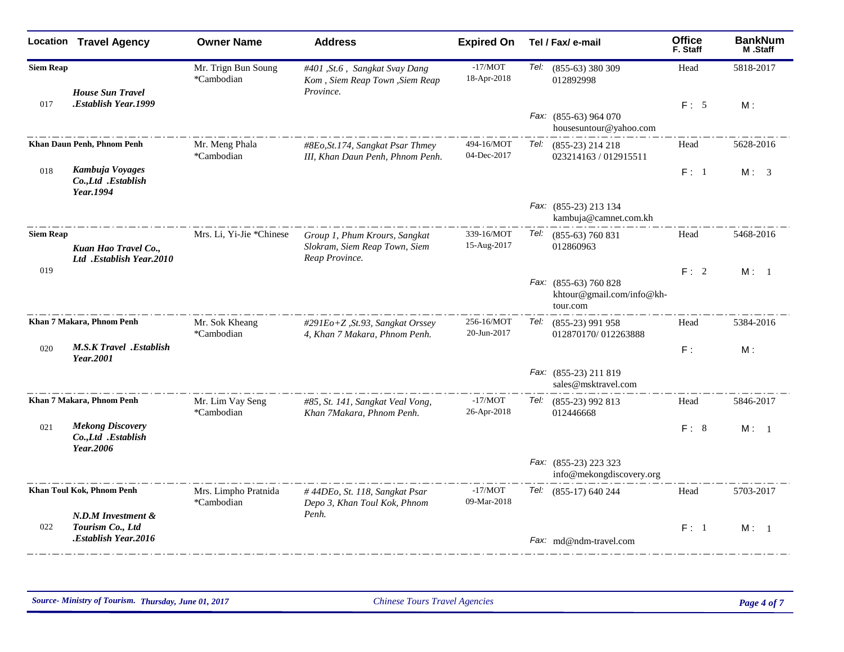|                  | <b>Location Travel Agency</b>                               | <b>Owner Name</b>                  | <b>Address</b>                                                                   | <b>Expired On</b>         |      | Tel / Fax/ e-mail                                              | <b>Office</b><br>F. Staff | <b>BankNum</b><br><b>M.Staff</b> |
|------------------|-------------------------------------------------------------|------------------------------------|----------------------------------------------------------------------------------|---------------------------|------|----------------------------------------------------------------|---------------------------|----------------------------------|
| <b>Siem Reap</b> | <b>House Sun Travel</b>                                     | Mr. Trign Bun Soung<br>*Cambodian  | #401, St.6, Sangkat Svay Dang<br>Kom, Siem Reap Town, Siem Reap<br>Province.     | $-17/MOT$<br>18-Apr-2018  |      | Tel: (855-63) 380 309<br>012892998                             | Head                      | 5818-2017                        |
| 017              | Establish Year.1999.                                        |                                    |                                                                                  |                           |      | Fax: (855-63) 964 070<br>housesuntour@yahoo.com                | F: 5                      | M:                               |
|                  | Khan Daun Penh, Phnom Penh                                  | Mr. Meng Phala<br>*Cambodian       | #8Eo, St.174, Sangkat Psar Thmey<br>III, Khan Daun Penh, Phnom Penh.             | 494-16/MOT<br>04-Dec-2017 |      | Tel: (855-23) 214 218<br>023214163 / 012915511                 | Head                      | 5628-2016                        |
| 018              | Kambuja Voyages<br>Co., Ltd .Establish<br>Year.1994         |                                    |                                                                                  |                           |      |                                                                | F: 1                      | M: 3                             |
|                  |                                                             |                                    |                                                                                  |                           |      | Fax: (855-23) 213 134<br>kambuja@camnet.com.kh                 |                           |                                  |
| <b>Siem Reap</b> | Kuan Hao Travel Co.,<br>Ltd .Establish Year.2010            | Mrs. Li. Yi-Jie *Chinese           | Group 1, Phum Krours, Sangkat<br>Slokram, Siem Reap Town, Siem<br>Reap Province. | 339-16/MOT<br>15-Aug-2017 | Tel: | $(855-63)$ 760 831<br>012860963                                | Head                      | 5468-2016                        |
| 019              |                                                             |                                    |                                                                                  |                           |      | Fax: (855-63) 760 828<br>khtour@gmail.com/info@kh-<br>tour.com | F: 2                      | M: 1                             |
|                  | Khan 7 Makara, Phnom Penh                                   | Mr. Sok Kheang<br>*Cambodian       | #291Eo+Z, St.93, Sangkat Orssey<br>4, Khan 7 Makara, Phnom Penh.                 | 256-16/MOT<br>20-Jun-2017 | Tel: | $(855-23)$ 991 958<br>012870170/012263888                      | Head                      | 5384-2016                        |
| 020              | <b>M.S.K Travel .Establish</b><br>Year.2001                 |                                    |                                                                                  |                           |      |                                                                | F:                        | M:                               |
|                  |                                                             |                                    |                                                                                  |                           |      | Fax: (855-23) 211 819<br>sales@msktravel.com                   |                           |                                  |
|                  | Khan 7 Makara, Phnom Penh                                   | Mr. Lim Vay Seng<br>*Cambodian     | #85, St. 141, Sangkat Veal Vong,<br>Khan 7Makara, Phnom Penh.                    | $-17/MOT$<br>26-Apr-2018  | Tel: | $(855-23)$ 992 813<br>012446668                                | Head                      | 5846-2017                        |
| 021              | <b>Mekong Discovery</b><br>Co., Ltd .Establish<br>Year.2006 |                                    |                                                                                  |                           |      |                                                                | F: 8                      | M: 1                             |
|                  |                                                             |                                    |                                                                                  |                           |      | Fax: (855-23) 223 323<br>info@mekongdiscovery.org              |                           |                                  |
|                  | Khan Toul Kok, Phnom Penh<br>N.D.M Investment &             | Mrs. Limpho Pratnida<br>*Cambodian | #44DEo, St. 118, Sangkat Psar<br>Depo 3, Khan Toul Kok, Phnom<br>Penh.           | $-17/MOT$<br>09-Mar-2018  | Tel: | $(855-17)$ 640 244                                             | Head                      | 5703-2017                        |
| 022              | Tourism Co., Ltd<br>Establish Year.2016.                    |                                    |                                                                                  |                           |      | Fax: md@ndm-travel.com                                         | F: 1                      | M: 1                             |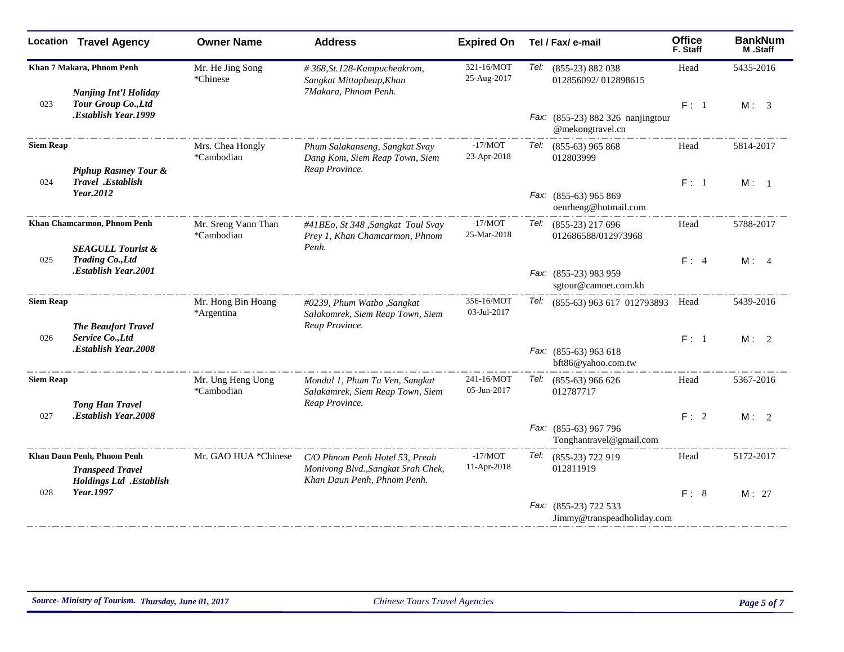|                  | <b>Location Travel Agency</b>                               | <b>Owner Name</b>                 | <b>Address</b>                                                                     | <b>Expired On</b>         | Tel / Fax/ e-mail                                     | <b>Office</b><br>F. Staff | <b>BankNum</b><br>M.Staff |
|------------------|-------------------------------------------------------------|-----------------------------------|------------------------------------------------------------------------------------|---------------------------|-------------------------------------------------------|---------------------------|---------------------------|
|                  | Khan 7 Makara, Phnom Penh<br><b>Nanjing Int'l Holiday</b>   | Mr. He Jing Song<br>*Chinese      | #368, St. 128-Kampucheakrom,<br>Sangkat Mittapheap, Khan<br>7Makara, Phnom Penh.   | 321-16/MOT<br>25-Aug-2017 | Tel:<br>$(855-23) 882 038$<br>012856092/012898615     | Head                      | 5435-2016                 |
| 023              | Tour Group Co., Ltd                                         |                                   |                                                                                    |                           |                                                       | F: 1                      | M: 3                      |
|                  | Establish Year.1999.                                        |                                   |                                                                                    |                           | Fax: (855-23) 882 326 nanjingtour<br>@mekongtravel.cn |                           |                           |
| <b>Siem Reap</b> | <b>Piphup Rasmey Tour &amp;</b>                             | Mrs. Chea Hongly<br>*Cambodian    | Phum Salakanseng, Sangkat Svay<br>Dang Kom, Siem Reap Town, Siem<br>Reap Province. | $-17/MOT$<br>23-Apr-2018  | Tel:<br>$(855-63)$ 965 868<br>012803999               | Head                      | 5814-2017                 |
| 024              | Travel .Establish                                           |                                   |                                                                                    |                           |                                                       | F: 1                      | M: 1                      |
|                  | Year.2012                                                   |                                   |                                                                                    |                           | Fax: (855-63) 965 869<br>oeurheng@hotmail.com         |                           |                           |
|                  | Khan Chamcarmon, Phnom Penh<br><b>SEAGULL Tourist &amp;</b> | Mr. Sreng Vann Than<br>*Cambodian | #41BEo, St 348 ,Sangkat Toul Svay<br>Prey 1, Khan Chamcarmon, Phnom<br>Penh.       | $-17/MOT$<br>25-Mar-2018  | Tel:<br>$(855-23)$ 217 696<br>012686588/012973968     | Head                      | 5788-2017                 |
| 025              | <b>Trading Co., Ltd</b>                                     |                                   |                                                                                    |                           |                                                       | F: 4                      | M: 4                      |
|                  | <b>Establish Year.2001.</b>                                 |                                   |                                                                                    |                           | Fax: (855-23) 983 959<br>sgtour@camnet.com.kh         |                           |                           |
| <b>Siem Reap</b> | <b>The Beaufort Travel</b>                                  | Mr. Hong Bin Hoang<br>*Argentina  | #0239, Phum Watbo , Sangkat<br>Salakomrek, Siem Reap Town, Siem<br>Reap Province.  | 356-16/MOT<br>03-Jul-2017 | Tel: (855-63) 963 617 012793893                       | Head                      | 5439-2016                 |
| 026              | Service Co., Ltd                                            |                                   |                                                                                    |                           |                                                       | F: 1                      | M: 2                      |
|                  | .Establish Year.2008                                        |                                   |                                                                                    |                           | Fax: (855-63) 963 618<br>bft86@yahoo.com.tw           |                           |                           |
| <b>Siem Reap</b> |                                                             | Mr. Ung Heng Uong<br>*Cambodian   | Mondul 1, Phum Ta Ven, Sangkat<br>Salakamrek, Siem Reap Town, Siem                 | 241-16/MOT<br>05-Jun-2017 | Tel:<br>$(855-63)$ 966 626<br>012787717               | Head                      | 5367-2016                 |
| 027              | <b>Tong Han Travel</b><br>.Establish Year.2008              |                                   | Reap Province.                                                                     |                           |                                                       | F: 2                      | M: 2                      |
|                  |                                                             |                                   |                                                                                    |                           | Fax: (855-63) 967 796<br>Tonghantravel@gmail.com      |                           |                           |
|                  | Khan Daun Penh, Phnom Penh                                  | Mr. GAO HUA *Chinese              | C/O Phnom Penh Hotel 53, Preah                                                     | $-17/MOT$                 | Tel:<br>(855-23) 722 919                              | Head                      | 5172-2017                 |
|                  | <b>Transpeed Travel</b><br><b>Holdings Ltd</b> .Establish   |                                   | Monivong Blvd., Sangkat Srah Chek,<br>Khan Daun Penh, Phnom Penh.                  | 11-Apr-2018               | 012811919                                             |                           |                           |
| 028              | Year.1997                                                   |                                   |                                                                                    |                           | Fax: (855-23) 722 533<br>Jimmy@transpeadholiday.com   | F: 8                      | M: 27                     |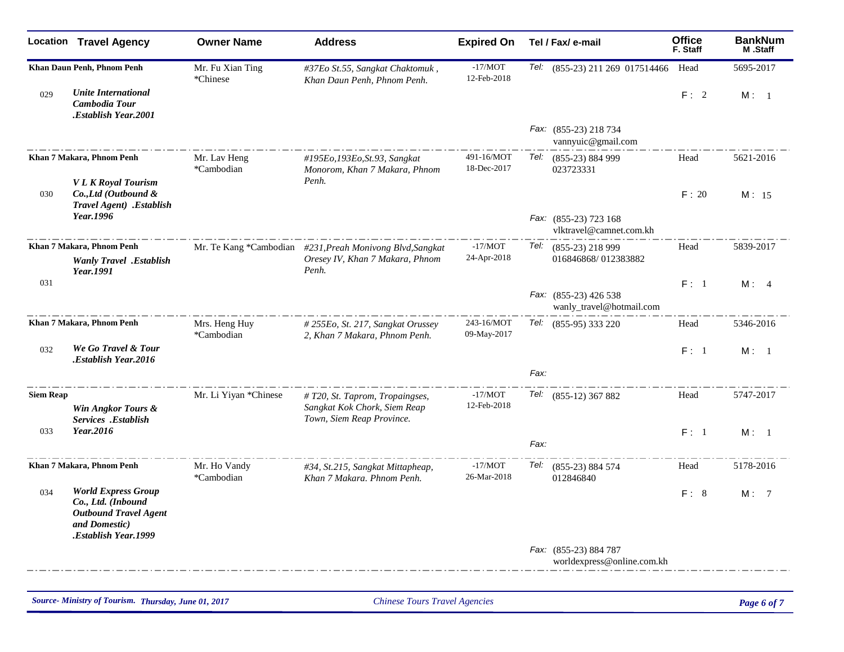|                  | <b>Location Travel Agency</b>                                                                                                     | <b>Owner Name</b>            | <b>Address</b>                                                                                        | <b>Expired On</b>         | Tel / Fax/ e-mail                                   | <b>Office</b><br>F. Staff | <b>BankNum</b><br>M.Staff |
|------------------|-----------------------------------------------------------------------------------------------------------------------------------|------------------------------|-------------------------------------------------------------------------------------------------------|---------------------------|-----------------------------------------------------|---------------------------|---------------------------|
|                  | Khan Daun Penh, Phnom Penh                                                                                                        | Mr. Fu Xian Ting<br>*Chinese | #37Eo St.55, Sangkat Chaktomuk,<br>Khan Daun Penh, Phnom Penh.                                        | $-17/MOT$<br>12-Feb-2018  | Tel: (855-23) 211 269 017514466                     | Head                      | 5695-2017                 |
| 029              | <b>Unite International</b><br>Cambodia Tour<br><b>Establish Year.2001.</b>                                                        |                              |                                                                                                       |                           |                                                     | F: 2                      | M: 1                      |
|                  |                                                                                                                                   |                              |                                                                                                       |                           | Fax: (855-23) 218 734<br>vannyuic@gmail.com         |                           |                           |
|                  | Khan 7 Makara, Phnom Penh                                                                                                         | Mr. Lav Heng<br>*Cambodian   | #195Eo,193Eo,St.93, Sangkat<br>Monorom, Khan 7 Makara, Phnom                                          | 491-16/MOT<br>18-Dec-2017 | Tel: (855-23) 884 999<br>023723331                  | Head                      | 5621-2016                 |
| 030              | <b>VLK</b> Royal Tourism<br>Co., Ltd (Outbound &<br>Travel Agent) .Establish                                                      |                              | Penh.                                                                                                 |                           |                                                     | F: 20                     | M: 15                     |
|                  | Year.1996                                                                                                                         |                              |                                                                                                       |                           | Fax: (855-23) 723 168<br>vlktravel@camnet.com.kh    |                           |                           |
|                  | Khan 7 Makara, Phnom Penh<br><b>Wanly Travel</b> .Establish<br>Year.1991                                                          |                              | Mr. Te Kang *Cambodian #231, Preah Monivong Blvd, Sangkat<br>Oresey IV, Khan 7 Makara, Phnom<br>Penh. | $-17/MOT$<br>24-Apr-2018  | Tel: (855-23) 218 999<br>016846868/012383882        | Head                      | 5839-2017                 |
| 031              |                                                                                                                                   |                              |                                                                                                       |                           | Fax: (855-23) 426 538<br>wanly_travel@hotmail.com   | F: 1                      | M: 4                      |
|                  | Khan 7 Makara, Phnom Penh                                                                                                         | Mrs. Heng Huy<br>*Cambodian  | # 255Eo, St. 217, Sangkat Orussey<br>2, Khan 7 Makara, Phnom Penh.                                    | 243-16/MOT<br>09-May-2017 | Tel: (855-95) 333 220                               | Head                      | 5346-2016                 |
| 032              | We Go Travel & Tour<br>Establish Year.2016.                                                                                       |                              |                                                                                                       |                           |                                                     | F: 1                      | M: 1                      |
|                  |                                                                                                                                   |                              |                                                                                                       |                           | Fax:                                                |                           |                           |
| <b>Siem Reap</b> | Win Angkor Tours &<br>Services .Establish                                                                                         | Mr. Li Yiyan *Chinese        | $# T20$ , St. Taprom, Tropaingses,<br>Sangkat Kok Chork, Siem Reap<br>Town, Siem Reap Province.       | $-17/MOT$<br>12-Feb-2018  | Tel: (855-12) 367 882                               | Head                      | 5747-2017                 |
| 033              | Year.2016                                                                                                                         |                              |                                                                                                       |                           | Fax:                                                | F: 1                      | M: 1                      |
|                  | Khan 7 Makara, Phnom Penh                                                                                                         | Mr. Ho Vandy<br>*Cambodian   | #34, St.215, Sangkat Mittapheap,<br>Khan 7 Makara. Phnom Penh.                                        | $-17/MOT$<br>26-Mar-2018  | Tel: (855-23) 884 574<br>012846840                  | Head                      | 5178-2016                 |
| 034              | <b>World Express Group</b><br>Co., Ltd. (Inbound<br><b>Outbound Travel Agent</b><br>and Domestic)<br><b>Establish Year, 1999.</b> |                              |                                                                                                       |                           |                                                     | F: 8                      | M: 7                      |
|                  |                                                                                                                                   |                              |                                                                                                       |                           | Fax: (855-23) 884 787<br>worldexpress@online.com.kh |                           |                           |